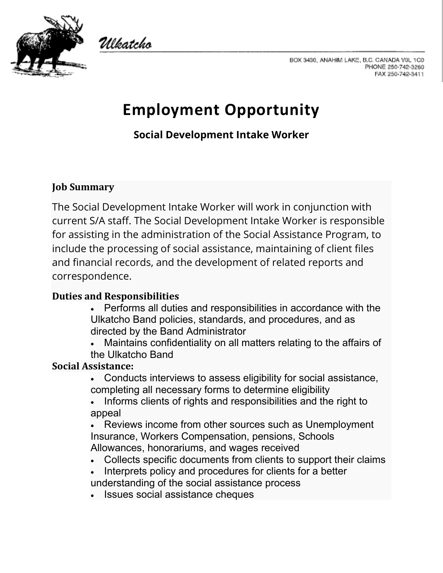

Ulkatcho

BOX 3430, ANAHIM LAKE, B.C. CANADA V0L 1C0 PHONE 250-742-3260 FAX 250-742-3411

# **Employment Opportunity**

**Social Development Intake Worker**

# **Job Summary**

The Social Development Intake Worker will work in conjunction with current S/A staff. The Social Development Intake Worker is responsible for assisting in the administration of the Social Assistance Program, to include the processing of social assistance, maintaining of client files and financial records, and the development of related reports and correspondence.

# **Duties and Responsibilities**

• Performs all duties and responsibilities in accordance with the Ulkatcho Band policies, standards, and procedures, and as directed by the Band Administrator

• Maintains confidentiality on all matters relating to the affairs of the Ulkatcho Band

# **Social Assistance:**

• Conducts interviews to assess eligibility for social assistance, completing all necessary forms to determine eligibility

• Informs clients of rights and responsibilities and the right to appeal

Reviews income from other sources such as Unemployment Insurance, Workers Compensation, pensions, Schools Allowances, honorariums, and wages received

- Collects specific documents from clients to support their claims
- Interprets policy and procedures for clients for a better understanding of the social assistance process
- Issues social assistance cheques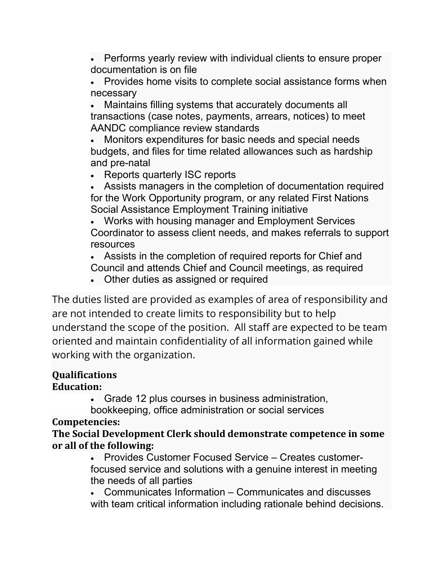• Performs yearly review with individual clients to ensure proper documentation is on file

• Provides home visits to complete social assistance forms when necessary

• Maintains filling systems that accurately documents all transactions (case notes, payments, arrears, notices) to meet AANDC compliance review standards

• Monitors expenditures for basic needs and special needs budgets, and files for time related allowances such as hardship and pre-natal

• Reports quarterly ISC reports

• Assists managers in the completion of documentation required for the Work Opportunity program, or any related First Nations Social Assistance Employment Training initiative

• Works with housing manager and Employment Services Coordinator to assess client needs, and makes referrals to support resources

• Assists in the completion of required reports for Chief and Council and attends Chief and Council meetings, as required

• Other duties as assigned or required

The duties listed are provided as examples of area of responsibility and are not intended to create limits to responsibility but to help understand the scope of the position. All staff are expected to be team oriented and maintain confidentiality of all information gained while working with the organization.

#### **Qualifications Education:**

• Grade 12 plus courses in business administration,

bookkeeping, office administration or social services

# **Competencies:**

**The Social Development Clerk should demonstrate competence in some or all of the following:**

• Provides Customer Focused Service – Creates customerfocused service and solutions with a genuine interest in meeting the needs of all parties

• Communicates Information – Communicates and discusses with team critical information including rationale behind decisions.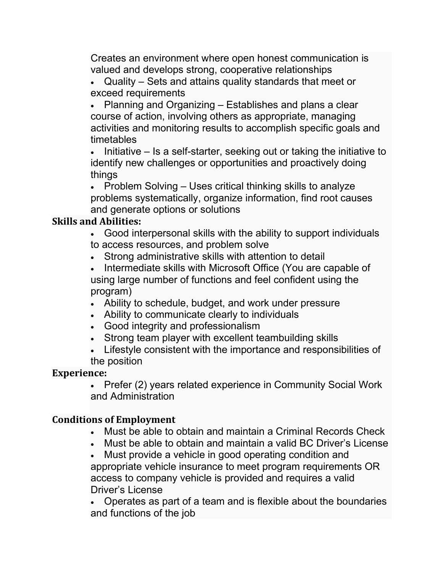Creates an environment where open honest communication is valued and develops strong, cooperative relationships

• Quality – Sets and attains quality standards that meet or exceed requirements

• Planning and Organizing – Establishes and plans a clear course of action, involving others as appropriate, managing activities and monitoring results to accomplish specific goals and timetables

• Initiative – Is a self-starter, seeking out or taking the initiative to identify new challenges or opportunities and proactively doing things

• Problem Solving – Uses critical thinking skills to analyze problems systematically, organize information, find root causes and generate options or solutions

### **Skills and Abilities:**

• Good interpersonal skills with the ability to support individuals to access resources, and problem solve

- Strong administrative skills with attention to detail
- Intermediate skills with Microsoft Office (You are capable of using large number of functions and feel confident using the program)
- Ability to schedule, budget, and work under pressure
- Ability to communicate clearly to individuals
- Good integrity and professionalism
- Strong team player with excellent teambuilding skills

• Lifestyle consistent with the importance and responsibilities of the position

#### **Experience:**

• Prefer (2) years related experience in Community Social Work and Administration

#### **Conditions of Employment**

- Must be able to obtain and maintain a Criminal Records Check
- Must be able to obtain and maintain a valid BC Driver's License

• Must provide a vehicle in good operating condition and appropriate vehicle insurance to meet program requirements OR access to company vehicle is provided and requires a valid Driver's License

• Operates as part of a team and is flexible about the boundaries and functions of the job